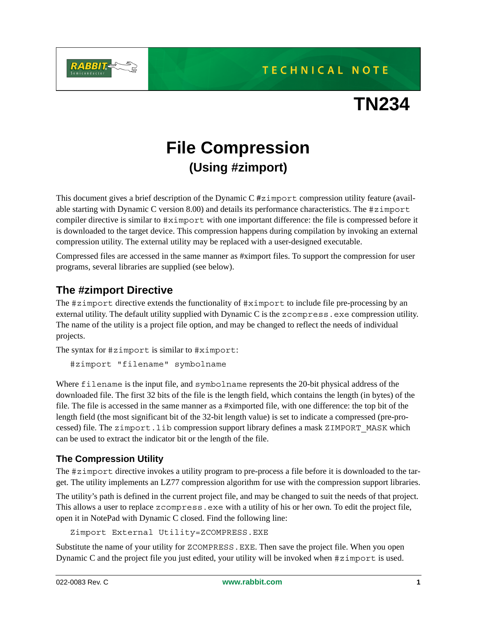

**TN234**

# **File Compression (Using #zimport)**

This document gives a brief description of the Dynamic C **#**zimport compression utility feature (available starting with Dynamic C version 8.00) and details its performance characteristics. The #zimport compiler directive is similar to #ximport with one important difference: the file is compressed before it is downloaded to the target device. This compression happens during compilation by invoking an external compression utility. The external utility may be replaced with a user-designed executable.

Compressed files are accessed in the same manner as #ximport files. To support the compression for user programs, several libraries are supplied (see below).

#### **The #zimport Directive**

The #zimport directive extends the functionality of #ximport to include file pre-processing by an external utility. The default utility supplied with Dynamic C is the zcompress.exe compression utility. The name of the utility is a project file option, and may be changed to reflect the needs of individual projects.

The syntax for #zimport is similar to #ximport:

#zimport "filename" symbolname

Where filename is the input file, and symbolname represents the 20-bit physical address of the downloaded file. The first 32 bits of the file is the length field, which contains the length (in bytes) of the file. The file is accessed in the same manner as a #ximported file, with one difference: the top bit of the length field (the most significant bit of the 32-bit length value) is set to indicate a compressed (pre-processed) file. The zimport.lib compression support library defines a mask ZIMPORT\_MASK which can be used to extract the indicator bit or the length of the file.

#### **The Compression Utility**

The #zimport directive invokes a utility program to pre-process a file before it is downloaded to the target. The utility implements an LZ77 compression algorithm for use with the compression support libraries.

The utility's path is defined in the current project file, and may be changed to suit the needs of that project. This allows a user to replace zcompress.exe with a utility of his or her own. To edit the project file, open it in NotePad with Dynamic C closed. Find the following line:

Zimport External Utility=ZCOMPRESS.EXE

Substitute the name of your utility for ZCOMPRESS.EXE. Then save the project file. When you open Dynamic C and the project file you just edited, your utility will be invoked when #zimport is used.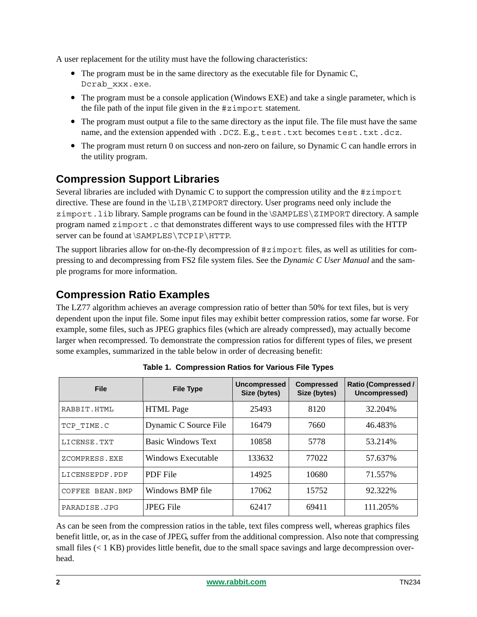A user replacement for the utility must have the following characteristics:

- The program must be in the same directory as the executable file for Dynamic C, Dcrab\_xxx.exe.
- The program must be a console application (Windows EXE) and take a single parameter, which is the file path of the input file given in the #zimport statement.
- The program must output a file to the same directory as the input file. The file must have the same name, and the extension appended with .DCZ. E.g., test.txt becomes test.txt.dcz.
- The program must return 0 on success and non-zero on failure, so Dynamic C can handle errors in the utility program.

# **Compression Support Libraries**

Several libraries are included with Dynamic C to support the compression utility and the #zimport directive. These are found in the \LIB\ZIMPORT directory. User programs need only include the zimport.lib library. Sample programs can be found in the \SAMPLES\ZIMPORT directory. A sample program named zimport.c that demonstrates different ways to use compressed files with the HTTP server can be found at \SAMPLES\TCPIP\HTTP.

The support libraries allow for on-the-fly decompression of #zimport files, as well as utilities for compressing to and decompressing from FS2 file system files. See the *Dynamic C User Manual* and the sample programs for more information.

# **Compression Ratio Examples**

The LZ77 algorithm achieves an average compression ratio of better than 50% for text files, but is very dependent upon the input file. Some input files may exhibit better compression ratios, some far worse. For example, some files, such as JPEG graphics files (which are already compressed), may actually become larger when recompressed. To demonstrate the compression ratios for different types of files, we present some examples, summarized in the table below in order of decreasing benefit:

| <b>File</b>        | <b>File Type</b>          | <b>Uncompressed</b><br>Size (bytes) | <b>Compressed</b><br>Size (bytes) | <b>Ratio (Compressed /</b><br>Uncompressed) |
|--------------------|---------------------------|-------------------------------------|-----------------------------------|---------------------------------------------|
| RABBIT.HTML        | <b>HTML</b> Page          | 25493                               | 8120                              | 32.204%                                     |
| TCP TIME.C         | Dynamic C Source File     | 16479                               | 7660                              | 46.483%                                     |
| LICENSE.TXT        | <b>Basic Windows Text</b> | 10858                               | 5778                              | 53.214%                                     |
| ZCOMPRESS.EXE      | Windows Executable        | 133632                              | 77022                             | 57.637%                                     |
| LICENSEPDF.PDF     | <b>PDF</b> File           | 14925                               | 10680                             | 71.557%                                     |
| COFFEE<br>BEAN.BMP | Windows BMP file          | 17062                               | 15752                             | 92.322%                                     |
| PARADISE.JPG       | <b>JPEG File</b>          | 62417                               | 69411                             | 111.205%                                    |

**Table 1. Compression Ratios for Various File Types**

As can be seen from the compression ratios in the table, text files compress well, whereas graphics files benefit little, or, as in the case of JPEG, suffer from the additional compression. Also note that compressing small files (< 1 KB) provides little benefit, due to the small space savings and large decompression overhead.